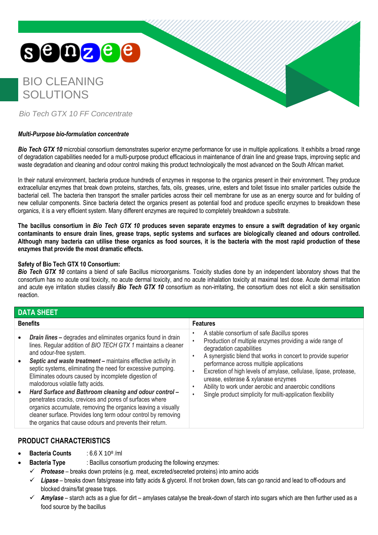# **SOOZEE**

## BIO CLEANING SOLUTIONS



*Bio Tech GTX 10 FF Concentrate*

## *Multi-Purpose bio-formulation concentrate*

**Bio Tech GTX 10** microbial consortium demonstrates superior enzyme performance for use in multiple applications. It exhibits a broad range of degradation capabilities needed for a multi-purpose product efficacious in maintenance of drain line and grease traps, improving septic and waste degradation and cleaning and odour control making this product technologically the most advanced on the South African market.

In their natural environment, bacteria produce hundreds of enzymes in response to the organics present in their environment. They produce extracellular enzymes that break down proteins, starches, fats, oils, greases, urine, esters and toilet tissue into smaller particles outside the bacterial cell. The bacteria then transport the smaller particles across their cell membrane for use as an energy source and for building of new cellular components. Since bacteria detect the organics present as potential food and produce specific enzymes to breakdown these organics, it is a very efficient system. Many different enzymes are required to completely breakdown a substrate.

**The bacillus consortium in** *Bio Tech GTX 10* **produces seven separate enzymes to ensure a swift degradation of key organic contaminants to ensure drain lines, grease traps, septic systems and surfaces are biologically cleaned and odours controlled. Although many bacteria can utilise these organics as food sources, it is the bacteria with the most rapid production of these enzymes that provide the most dramatic effects.**

## **Safety of Bio Tech GTX 10 Consortium:**

**Bio Tech GTX 10** contains a blend of safe Bacillus microorganisms. Toxicity studies done by an independent laboratory shows that the consortium has no acute oral toxicity, no acute dermal toxicity, and no acute inhalation toxicity at maximal test dose. Acute dermal irritation and acute eye irritation studies classify *Bio Tech GTX 10* consortium as non-irritating, the consortium does not elicit a skin sensitisation reaction.

| <b>DATA SHEET</b>                                                                                                                                                                                                                                                                                                                                                                                                                                                                                                                                                                                                                                                                                                                       |                                                                                                                                                                                                                                                                                                                                                                                                                                                                                            |  |  |  |
|-----------------------------------------------------------------------------------------------------------------------------------------------------------------------------------------------------------------------------------------------------------------------------------------------------------------------------------------------------------------------------------------------------------------------------------------------------------------------------------------------------------------------------------------------------------------------------------------------------------------------------------------------------------------------------------------------------------------------------------------|--------------------------------------------------------------------------------------------------------------------------------------------------------------------------------------------------------------------------------------------------------------------------------------------------------------------------------------------------------------------------------------------------------------------------------------------------------------------------------------------|--|--|--|
| <b>Benefits</b>                                                                                                                                                                                                                                                                                                                                                                                                                                                                                                                                                                                                                                                                                                                         | <b>Features</b>                                                                                                                                                                                                                                                                                                                                                                                                                                                                            |  |  |  |
| <b>Drain lines - degrades and eliminates organics found in drain</b><br>lines. Regular addition of BIO TECH GTX 1 maintains a cleaner<br>and odour-free system.<br>Septic and waste treatment - maintains effective activity in<br>$\bullet$<br>septic systems, eliminating the need for excessive pumping.<br>Eliminates odours caused by incomplete digestion of<br>malodorous volatile fatty acids.<br>Hard Surface and Bathroom cleaning and odour control -<br>$\bullet$<br>penetrates cracks, crevices and pores of surfaces where<br>organics accumulate, removing the organics leaving a visually<br>cleaner surface. Provides long term odour control by removing<br>the organics that cause odours and prevents their return. | A stable consortium of safe Bacillus spores<br>Production of multiple enzymes providing a wide range of<br>degradation capabilities<br>A synergistic blend that works in concert to provide superior<br>٠<br>performance across multiple applications<br>Excretion of high levels of amylase, cellulase, lipase, protease,<br>urease, esterase & xylanase enzymes<br>Ability to work under aerobic and anaerobic conditions<br>Single product simplicity for multi-application flexibility |  |  |  |

## **PRODUCT CHARACTERISTICS**

- **Bacteria Counts** : 6.6 X 10 $^{\circ}$  /ml
	- **Bacteria Type** : Bacillus consortium producing the following enzymes:
	- ✓ *Protease* breaks down proteins (e.g. meat, excreted/secreted proteins) into amino acids
	- ✓ *Lipase* breaks down fats/grease into fatty acids & glycerol. If not broken down, fats can go rancid and lead to off-odours and blocked drains/fat grease traps.
	- ✓ *Amylase* starch acts as a glue for dirt amylases catalyse the break-down of starch into sugars which are then further used as a food source by the bacillus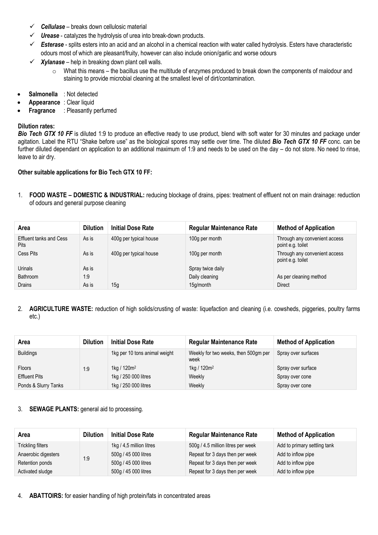- ✓ *Cellulase* breaks down cellulosic material
- ✓ *Urease* [catalyzes](http://en.wikipedia.org/wiki/Catalysis) th[e hydrolysis](http://en.wikipedia.org/wiki/Hydrolysis) of [urea](http://en.wikipedia.org/wiki/Urea) into break-down products.
- ✓ *Esterase* splits [esters](http://en.wikipedia.org/wiki/Ester) into an [acid](http://en.wikipedia.org/wiki/Acid) and an [alcohol](http://en.wikipedia.org/wiki/Alcohol) in a [chemical reaction](http://en.wikipedia.org/wiki/Chemical_reaction) with [water](http://en.wikipedia.org/wiki/Water_(molecule)) called [hydrolysis.](http://en.wikipedia.org/wiki/Hydrolysis) Esters have characteristic odours most of which are pleasant/fruity, however can also include onion/garlic and worse odours
- $\checkmark$  *Xylanase* help in breaking down plant cell walls.
	- $\circ$  What this means the bacillus use the multitude of enzymes produced to break down the components of malodour and staining to provide microbial cleaning at the smallest level of dirt/contamination.
- **Salmonella** : Not detected
- **Appearance** : Clear liquid
- **Fragrance** : Pleasantly perfumed

### **Dilution rates:**

**Bio Tech GTX 10 FF** is diluted 1:9 to produce an effective ready to use product, blend with soft water for 30 minutes and package under agitation. Label the RTU "Shake before use" as the biological spores may settle over time. The diluted *Bio Tech GTX 10 FF* conc. can be further diluted dependant on application to an additional maximum of 1:9 and needs to be used on the day – do not store. No need to rinse, leave to air dry.

## **Other suitable applications for Bio Tech GTX 10 FF:**

1. **FOOD WASTE – DOMESTIC & INDUSTRIAL:** reducing blockage of drains, pipes: treatment of effluent not on main drainage: reduction of odours and general purpose cleaning

| Area                                          | <b>Dilution</b> | <b>Initial Dose Rate</b> | <b>Regular Maintenance Rate</b> | <b>Method of Application</b>                       |
|-----------------------------------------------|-----------------|--------------------------|---------------------------------|----------------------------------------------------|
| <b>Effluent tanks and Cess</b><br><b>Pits</b> | As is           | 400g per typical house   | 100g per month                  | Through any convenient access<br>point e.g. toilet |
| Cess Pits                                     | As is           | 400g per typical house   | 100g per month                  | Through any convenient access<br>point e.g. toilet |
| Urinals                                       | As is           |                          | Spray twice daily               |                                                    |
| Bathroom                                      | 1:9             |                          | Daily cleaning                  | As per cleaning method                             |
| Drains                                        | As is           | 15g                      | 15g/month                       | <b>Direct</b>                                      |

## 2. **AGRICULTURE WASTE:** reduction of high solids/crusting of waste: liquefaction and cleaning (i.e. cowsheds, piggeries, poultry farms etc.)

| Area                 | <b>Dilution</b> | <b>Initial Dose Rate</b>      | <b>Regular Maintenance Rate</b>              | <b>Method of Application</b> |
|----------------------|-----------------|-------------------------------|----------------------------------------------|------------------------------|
| <b>Buildings</b>     |                 | 1kg per 10 tons animal weight | Weekly for two weeks, then 500gm per<br>week | Spray over surfaces          |
| <b>Floors</b>        | 1:9             | 1kg / $120m^2$                | 1kg / $120m^2$                               | Spray over surface           |
| <b>Effluent Pits</b> |                 | 1kg / 250 000 litres          | Weekly                                       | Spray over cone              |
| Ponds & Slurry Tanks |                 | 1kg / 250 000 litres          | Weekly                                       | Spray over cone              |

### 3. **SEWAGE PLANTS:** general aid to processing.

| Area                | <b>Dilution</b> | <b>Initial Dose Rate</b> | <b>Regular Maintenance Rate</b>    | <b>Method of Application</b> |
|---------------------|-----------------|--------------------------|------------------------------------|------------------------------|
| Trickling filters   | 1:9             | 1kg / 4,5 million litres | 500g / 4.5 million litres per week | Add to primary settling tank |
| Anaerobic digesters |                 | 500g / 45 000 litres     | Repeat for 3 days then per week    | Add to inflow pipe           |
| Retention ponds     |                 | 500g / 45 000 litres     | Repeat for 3 days then per week    | Add to inflow pipe           |
| Activated sludge    |                 | 500g / 45 000 litres     | Repeat for 3 days then per week    | Add to inflow pipe           |

4. **ABATTOIRS:** for easier handling of high protein/fats in concentrated areas